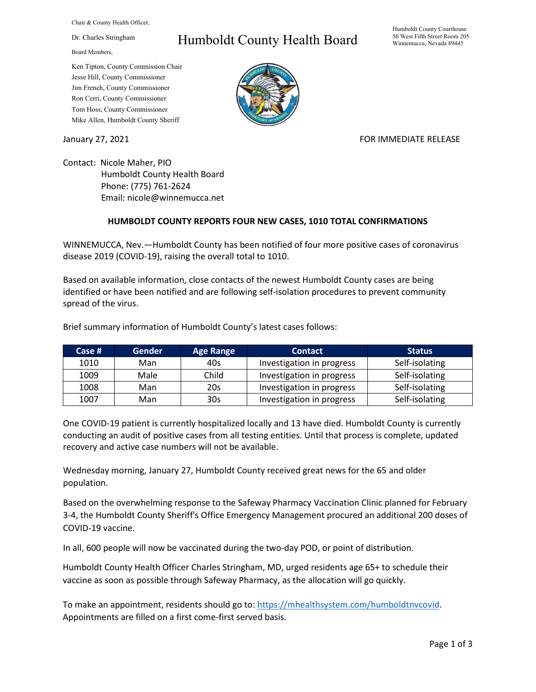Chair & County Health Officer,

Dr. Charles Stringham

Board Members,

## Ken Tipton, County Commission Chair Jesse Hill, County Commissioner Jim French, County Commissioner Ron Cerri, County Commissioner Tom Hoss, County Commissioner Mike Allen, Humboldt County Sheriff

## Humboldt County Health Board



## January 27, 2021 **FOR IMMEDIATE RELEASE**

Contact: Nicole Maher, PIO Humboldt County Health Board Phone: (775) 761-2624 Email: nicole@winnemucca.net

## **HUMBOLDT COUNTY REPORTS FOUR NEW CASES, 1010 TOTAL CONFIRMATIONS**

WINNEMUCCA, Nev.—Humboldt County has been notified of four more positive cases of coronavirus disease 2019 (COVID-19), raising the overall total to 1010.

Based on available information, close contacts of the newest Humboldt County cases are being identified or have been notified and are following self-isolation procedures to prevent community spread of the virus.

| Case # | <b>Gender</b> | <b>Age Range</b> | <b>Contact</b>            | <b>Status</b>  |
|--------|---------------|------------------|---------------------------|----------------|
| 1010   | Man           | 40s              | Investigation in progress | Self-isolating |
| 1009   | Male          | Child            | Investigation in progress | Self-isolating |
| 1008   | Man           | 20s              | Investigation in progress | Self-isolating |
| 1007   | Man           | 30s              | Investigation in progress | Self-isolating |

Brief summary information of Humboldt County's latest cases follows:

One COVID-19 patient is currently hospitalized locally and 13 have died. Humboldt County is currently conducting an audit of positive cases from all testing entities. Until that process is complete, updated recovery and active case numbers will not be available.

Wednesday morning, January 27, Humboldt County received great news for the 65 and older population.

Based on the overwhelming response to the Safeway Pharmacy Vaccination Clinic planned for February 3-4, the Humboldt County Sheriff's Office Emergency Management procured an additional 200 doses of COVID-19 vaccine.

In all, 600 people will now be vaccinated during the two-day POD, or point of distribution.

Humboldt County Health Officer Charles Stringham, MD, urged residents age 65+ to schedule their vaccine as soon as possible through Safeway Pharmacy, as the allocation will go quickly.

To make an appointment, residents should go to: [https://mhealthsystem.com/humboldtnvcovid.](https://l.facebook.com/l.php?u=https%3A%2F%2Fmhealthsystem.com%2Fhumboldtnvcovid%3Ffbclid%3DIwAR2tJOVyjfY91m2qgGsgU81Y5voYXoXTS4vmEeA4BBd0_bQq2_cSMH0BM6o&h=AT2pOrnAyRCuFS7nCTEqFDGCAbblhUAt5zaOxV137TaNwO266NDhFqBcYS76Km5U5GI52sK7Hhc4zd02vhQyqSrASHGHX4rTm4Ei7O8lMTYmCkzspgGaxS7pMvNx-7Ioa2Ri&__tn__=-UK-R&c%5b0%5d=AT0YYSuNs7INTqPMmmwcSGLHGfgyScb7NZh0-MFp_fK2vGuQmd8vYqTpVdguFiXD0UImAfc857nNwhx0hUBdWE4R2K1Qb4_ylGQUSUPLSPnEmS7l5MVcRE2orIFCnzMLe6xk5II4Gl3oQxbhIna7GYRwjW8wVgvSRL1suKKpnkEgBrQ) Appointments are filled on a first come-first served basis.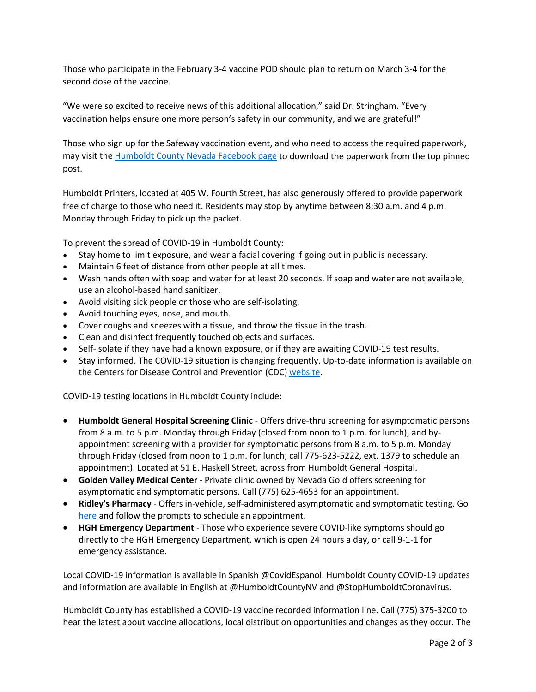Those who participate in the February 3-4 vaccine POD should plan to return on March 3-4 for the second dose of the vaccine.

"We were so excited to receive news of this additional allocation," said Dr. Stringham. "Every vaccination helps ensure one more person's safety in our community, and we are grateful!"

Those who sign up for the Safeway vaccination event, and who need to access the required paperwork, may visit the [Humboldt County Nevada Facebook page](https://www.facebook.com/humboldtcountynv) to download the paperwork from the top pinned post.

Humboldt Printers, located at 405 W. Fourth Street, has also generously offered to provide paperwork free of charge to those who need it. Residents may stop by anytime between 8:30 a.m. and 4 p.m. Monday through Friday to pick up the packet.

To prevent the spread of COVID-19 in Humboldt County:

- Stay home to limit exposure, and wear a facial covering if going out in public is necessary.
- Maintain 6 feet of distance from other people at all times.
- Wash hands often with soap and water for at least 20 seconds. If soap and water are not available, use an alcohol-based hand sanitizer.
- Avoid visiting sick people or those who are self-isolating.
- Avoid touching eyes, nose, and mouth.
- Cover coughs and sneezes with a tissue, and throw the tissue in the trash.
- Clean and disinfect frequently touched objects and surfaces.
- Self-isolate if they have had a known exposure, or if they are awaiting COVID-19 test results.
- Stay informed. The COVID-19 situation is changing frequently. Up-to-date information is available on the Centers for Disease Control and Prevention (CDC) [website.](http://www.cdc.gov/coronavirus/2019-ncov/index.html)

COVID-19 testing locations in Humboldt County include:

- **Humboldt General Hospital Screening Clinic** Offers drive-thru screening for asymptomatic persons from 8 a.m. to 5 p.m. Monday through Friday (closed from noon to 1 p.m. for lunch), and byappointment screening with a provider for symptomatic persons from 8 a.m. to 5 p.m. Monday through Friday (closed from noon to 1 p.m. for lunch; call 775-623-5222, ext. 1379 to schedule an appointment). Located at 51 E. Haskell Street, across from Humboldt General Hospital.
- **Golden Valley Medical Center** Private clinic owned by Nevada Gold offers screening for asymptomatic and symptomatic persons. Call (775) 625-4653 for an appointment.
- **Ridley's Pharmacy** Offers in-vehicle, self-administered asymptomatic and symptomatic testing. Go [here](https://www.doineedacovid19test.com/Winnemucca_NV_1098.html) and follow the prompts to schedule an appointment.
- **HGH Emergency Department**  Those who experience severe COVID-like symptoms should go directly to the HGH Emergency Department, which is open 24 hours a day, or call 9-1-1 for emergency assistance.

Local COVID-19 information is available in Spanish @CovidEspanol. Humboldt County COVID-19 updates and information are available in English at @HumboldtCountyNV and @StopHumboldtCoronavirus.

Humboldt County has established a COVID-19 vaccine recorded information line. Call (775) 375-3200 to hear the latest about vaccine allocations, local distribution opportunities and changes as they occur. The